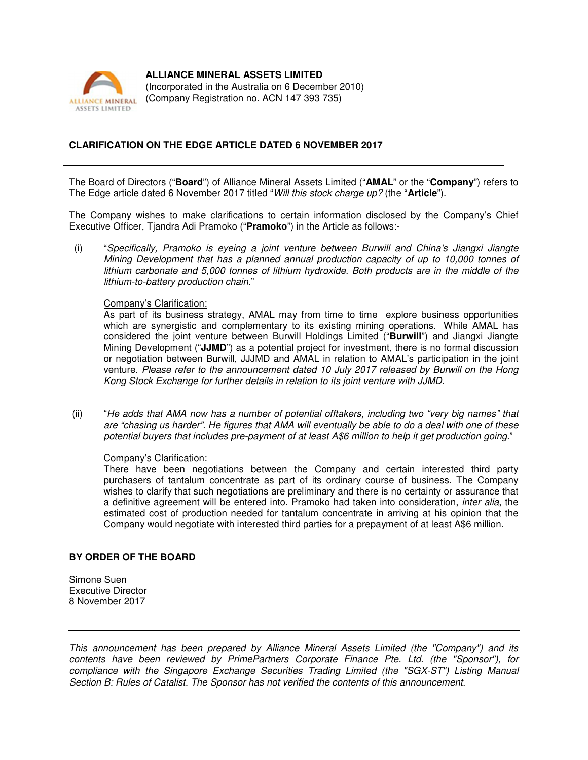

**ALLIANCE MINERAL ASSETS LIMITED**  (Incorporated in the Australia on 6 December 2010) (Company Registration no. ACN 147 393 735)

## **CLARIFICATION ON THE EDGE ARTICLE DATED 6 NOVEMBER 2017**

The Board of Directors ("**Board**") of Alliance Mineral Assets Limited ("**AMAL**" or the "**Company**") refers to The Edge article dated 6 November 2017 titled "*Will this stock charge up?* (the "**Article**").

The Company wishes to make clarifications to certain information disclosed by the Company's Chief Executive Officer, Tjandra Adi Pramoko ("**Pramoko**") in the Article as follows:-

(i) "*Specifically, Pramoko is eyeing a joint venture between Burwill and China's Jiangxi Jiangte Mining Development that has a planned annual production capacity of up to 10,000 tonnes of*  lithium carbonate and 5,000 tonnes of lithium hydroxide. Both products are in the middle of the *lithium-to-battery production chain.*"

## Company's Clarification:

As part of its business strategy, AMAL may from time to time explore business opportunities which are synergistic and complementary to its existing mining operations. While AMAL has considered the joint venture between Burwill Holdings Limited ("**Burwill**") and Jiangxi Jiangte Mining Development ("**JJMD**") as a potential project for investment, there is no formal discussion or negotiation between Burwill, JJJMD and AMAL in relation to AMAL's participation in the joint venture. *Please refer to the announcement dated 10 July 2017 released by Burwill on the Hong Kong Stock Exchange for further details in relation to its joint venture with JJMD.* 

(ii) "*He adds that AMA now has a number of potential offtakers, including two "very big names" that are "chasing us harder". He figures that AMA will eventually be able to do a deal with one of these potential buyers that includes pre-payment of at least A\$6 million to help it get production going.*"

## Company's Clarification:

 There have been negotiations between the Company and certain interested third party purchasers of tantalum concentrate as part of its ordinary course of business. The Company wishes to clarify that such negotiations are preliminary and there is no certainty or assurance that a definitive agreement will be entered into. Pramoko had taken into consideration, *inter alia*, the estimated cost of production needed for tantalum concentrate in arriving at his opinion that the Company would negotiate with interested third parties for a prepayment of at least A\$6 million.

## **BY ORDER OF THE BOARD**

Simone Suen Executive Director 8 November 2017

*This announcement has been prepared by Alliance Mineral Assets Limited (the "Company") and its contents have been reviewed by PrimePartners Corporate Finance Pte. Ltd. (the "Sponsor"), for compliance with the Singapore Exchange Securities Trading Limited (the "SGX-ST") Listing Manual Section B: Rules of Catalist. The Sponsor has not verified the contents of this announcement.*